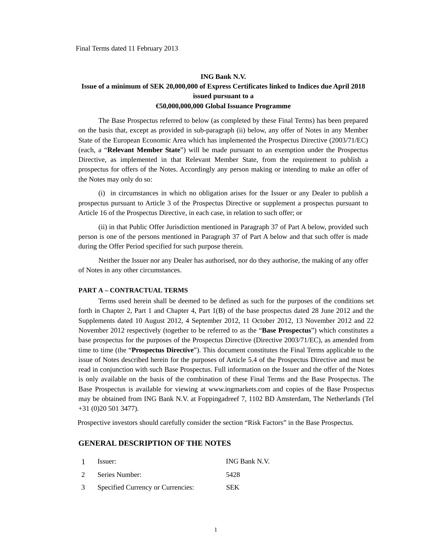# **ING Bank N.V. Issue of a minimum of SEK 20,000,000 of Express Certificates linked to Indices due April 2018 issued pursuant to a €50,000,000,000 Global Issuance Programme**

The Base Prospectus referred to below (as completed by these Final Terms) has been prepared on the basis that, except as provided in sub-paragraph (ii) below, any offer of Notes in any Member State of the European Economic Area which has implemented the Prospectus Directive (2003/71/EC) (each, a "**Relevant Member State**") will be made pursuant to an exemption under the Prospectus Directive, as implemented in that Relevant Member State, from the requirement to publish a prospectus for offers of the Notes. Accordingly any person making or intending to make an offer of the Notes may only do so:

(i) in circumstances in which no obligation arises for the Issuer or any Dealer to publish a prospectus pursuant to Article 3 of the Prospectus Directive or supplement a prospectus pursuant to Article 16 of the Prospectus Directive, in each case, in relation to such offer; or

(ii) in that Public Offer Jurisdiction mentioned in Paragraph 37 of Part A below, provided such person is one of the persons mentioned in Paragraph 37 of Part A below and that such offer is made during the Offer Period specified for such purpose therein.

Neither the Issuer nor any Dealer has authorised, nor do they authorise, the making of any offer of Notes in any other circumstances.

### **PART A – CONTRACTUAL TERMS**

Terms used herein shall be deemed to be defined as such for the purposes of the conditions set forth in Chapter 2, Part 1 and Chapter 4, Part 1(B) of the base prospectus dated 28 June 2012 and the Supplements dated 10 August 2012, 4 September 2012, 11 October 2012, 13 November 2012 and 22 November 2012 respectively (together to be referred to as the "**Base Prospectus**") which constitutes a base prospectus for the purposes of the Prospectus Directive (Directive 2003/71/EC), as amended from time to time (the "**Prospectus Directive**"). This document constitutes the Final Terms applicable to the issue of Notes described herein for the purposes of Article 5.4 of the Prospectus Directive and must be read in conjunction with such Base Prospectus. Full information on the Issuer and the offer of the Notes is only available on the basis of the combination of these Final Terms and the Base Prospectus. The Base Prospectus is available for viewing at www.ingmarkets.com and copies of the Base Prospectus may be obtained from ING Bank N.V. at Foppingadreef 7, 1102 BD Amsterdam, The Netherlands (Tel +31 (0)20 501 3477)*.* 

Prospective investors should carefully consider the section "Risk Factors" in the Base Prospectus*.* 

#### **GENERAL DESCRIPTION OF THE NOTES**

| $\mathbf{1}$ | Issuer:                             | ING Bank N.V. |
|--------------|-------------------------------------|---------------|
| $2^{\circ}$  | Series Number:                      | 5428          |
|              | 3 Specified Currency or Currencies: | <b>SEK</b>    |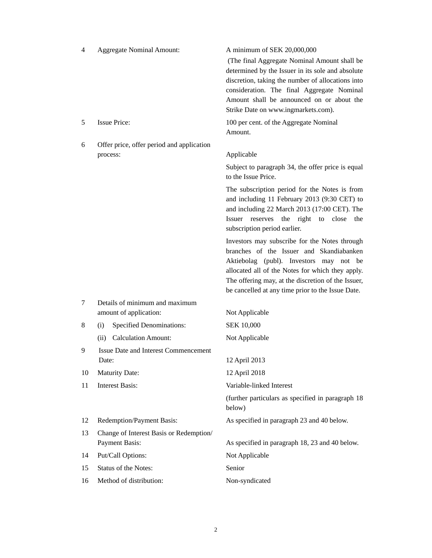| $\overline{4}$ | <b>Aggregate Nominal Amount:</b>                          | A minimum of SEK 20,000,000<br>(The final Aggregate Nominal Amount shall be<br>determined by the Issuer in its sole and absolute<br>discretion, taking the number of allocations into<br>consideration. The final Aggregate Nominal<br>Amount shall be announced on or about the<br>Strike Date on www.ingmarkets.com). |
|----------------|-----------------------------------------------------------|-------------------------------------------------------------------------------------------------------------------------------------------------------------------------------------------------------------------------------------------------------------------------------------------------------------------------|
| 5              | <b>Issue Price:</b>                                       | 100 per cent. of the Aggregate Nominal                                                                                                                                                                                                                                                                                  |
|                |                                                           | Amount.                                                                                                                                                                                                                                                                                                                 |
| 6              | Offer price, offer period and application<br>process:     | Applicable                                                                                                                                                                                                                                                                                                              |
|                |                                                           | Subject to paragraph 34, the offer price is equal<br>to the Issue Price.                                                                                                                                                                                                                                                |
|                |                                                           | The subscription period for the Notes is from<br>and including 11 February 2013 (9:30 CET) to<br>and including 22 March 2013 (17:00 CET). The<br>Issuer reserves the right to close<br>the<br>subscription period earlier.                                                                                              |
|                |                                                           | Investors may subscribe for the Notes through<br>branches of the Issuer and Skandiabanken<br>Aktiebolag (publ). Investors may not be<br>allocated all of the Notes for which they apply.<br>The offering may, at the discretion of the Issuer,<br>be cancelled at any time prior to the Issue Date.                     |
| 7              | Details of minimum and maximum<br>amount of application:  | Not Applicable                                                                                                                                                                                                                                                                                                          |
| 8              | <b>Specified Denominations:</b><br>(i)                    | <b>SEK 10,000</b>                                                                                                                                                                                                                                                                                                       |
|                | <b>Calculation Amount:</b><br>(ii)                        | Not Applicable                                                                                                                                                                                                                                                                                                          |
| 9              | Issue Date and Interest Commencement                      |                                                                                                                                                                                                                                                                                                                         |
|                | Date:                                                     | 12 April 2013                                                                                                                                                                                                                                                                                                           |
| 10             | <b>Maturity Date:</b>                                     | 12 April 2018                                                                                                                                                                                                                                                                                                           |
| 11             | <b>Interest Basis:</b>                                    | Variable-linked Interest                                                                                                                                                                                                                                                                                                |
|                |                                                           | (further particulars as specified in paragraph 18<br>below)                                                                                                                                                                                                                                                             |
| 12             | Redemption/Payment Basis:                                 | As specified in paragraph 23 and 40 below.                                                                                                                                                                                                                                                                              |
| 13             | Change of Interest Basis or Redemption/<br>Payment Basis: | As specified in paragraph 18, 23 and 40 below.                                                                                                                                                                                                                                                                          |
| 14             | Put/Call Options:                                         | Not Applicable                                                                                                                                                                                                                                                                                                          |
| 15             | Status of the Notes:                                      | Senior                                                                                                                                                                                                                                                                                                                  |
| 16             | Method of distribution:                                   | Non-syndicated                                                                                                                                                                                                                                                                                                          |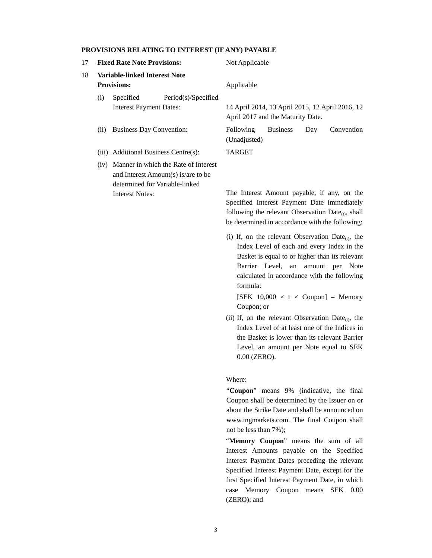#### **PROVISIONS RELATING TO INTEREST (IF ANY) PAYABLE**

| 17 |      | <b>Fixed Rate Note Provisions:</b>                                                                            | Not Applicable                                                                       |
|----|------|---------------------------------------------------------------------------------------------------------------|--------------------------------------------------------------------------------------|
| 18 |      | Variable-linked Interest Note<br><b>Provisions:</b>                                                           | Applicable                                                                           |
|    | (i)  | Period(s)/Specified<br>Specified<br><b>Interest Payment Dates:</b>                                            | 14 April 2014, 13 April 2015, 12 April 2016, 12<br>April 2017 and the Maturity Date. |
|    | (ii) | <b>Business Day Convention:</b>                                                                               | <b>Business</b><br>Convention<br><b>Following</b><br>Day<br>(Unadjusted)             |
|    |      | (iii) Additional Business Centre(s):                                                                          | TARGET                                                                               |
|    | (iv) | Manner in which the Rate of Interest<br>and Interest Amount(s) is/are to be<br>determined for Variable-linked |                                                                                      |
|    |      | <b>Interest Notes:</b>                                                                                        | The Interest Amount payable, if any, on the                                          |

Specified Interest Payment Date immediately following the relevant Observation  $Date_{(t)}$ , shall be determined in accordance with the following:

(i) If, on the relevant Observation Date $_{(t)}$ , the Index Level of each and every Index in the Basket is equal to or higher than its relevant Barrier Level, an amount per Note calculated in accordance with the following formula:

[SEK  $10,000 \times t \times \text{Coupon}$ ] – Memory Coupon; or

(ii) If, on the relevant Observation Date $_{(t)}$ , the Index Level of at least one of the Indices in the Basket is lower than its relevant Barrier Level, an amount per Note equal to SEK 0.00 (ZERO).

#### Where:

"**Coupon**" means 9% (indicative, the final Coupon shall be determined by the Issuer on or about the Strike Date and shall be announced on www.ingmarkets.com. The final Coupon shall not be less than 7%);

"**Memory Coupon**" means the sum of all Interest Amounts payable on the Specified Interest Payment Dates preceding the relevant Specified Interest Payment Date, except for the first Specified Interest Payment Date, in which case Memory Coupon means SEK 0.00 (ZERO); and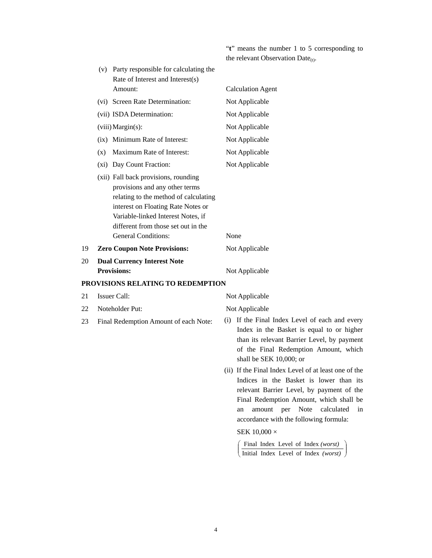"**t**" means the number 1 to 5 corresponding to the relevant Observation Date $_{(t)}$ .

|    |     | (v) Party responsible for calculating the<br>Rate of Interest and Interest(s)                                                                                                                                                                                    |                                                                                                                                                                                                                                                                                                                                                   |
|----|-----|------------------------------------------------------------------------------------------------------------------------------------------------------------------------------------------------------------------------------------------------------------------|---------------------------------------------------------------------------------------------------------------------------------------------------------------------------------------------------------------------------------------------------------------------------------------------------------------------------------------------------|
|    |     | Amount:                                                                                                                                                                                                                                                          | <b>Calculation Agent</b>                                                                                                                                                                                                                                                                                                                          |
|    |     | (vi) Screen Rate Determination:                                                                                                                                                                                                                                  | Not Applicable                                                                                                                                                                                                                                                                                                                                    |
|    |     | (vii) ISDA Determination:                                                                                                                                                                                                                                        | Not Applicable                                                                                                                                                                                                                                                                                                                                    |
|    |     | (viii) Margin(s):                                                                                                                                                                                                                                                | Not Applicable                                                                                                                                                                                                                                                                                                                                    |
|    |     | (ix) Minimum Rate of Interest:                                                                                                                                                                                                                                   | Not Applicable                                                                                                                                                                                                                                                                                                                                    |
|    | (x) | Maximum Rate of Interest:                                                                                                                                                                                                                                        | Not Applicable                                                                                                                                                                                                                                                                                                                                    |
|    |     | (xi) Day Count Fraction:                                                                                                                                                                                                                                         | Not Applicable                                                                                                                                                                                                                                                                                                                                    |
|    |     | (xii) Fall back provisions, rounding<br>provisions and any other terms<br>relating to the method of calculating<br>interest on Floating Rate Notes or<br>Variable-linked Interest Notes, if<br>different from those set out in the<br><b>General Conditions:</b> | None                                                                                                                                                                                                                                                                                                                                              |
| 19 |     | <b>Zero Coupon Note Provisions:</b>                                                                                                                                                                                                                              | Not Applicable                                                                                                                                                                                                                                                                                                                                    |
| 20 |     | <b>Dual Currency Interest Note</b>                                                                                                                                                                                                                               |                                                                                                                                                                                                                                                                                                                                                   |
|    |     | <b>Provisions:</b>                                                                                                                                                                                                                                               | Not Applicable                                                                                                                                                                                                                                                                                                                                    |
|    |     | PROVISIONS RELATING TO REDEMPTION                                                                                                                                                                                                                                |                                                                                                                                                                                                                                                                                                                                                   |
| 21 |     | <b>Issuer Call:</b>                                                                                                                                                                                                                                              | Not Applicable                                                                                                                                                                                                                                                                                                                                    |
| 22 |     | Noteholder Put:                                                                                                                                                                                                                                                  | Not Applicable                                                                                                                                                                                                                                                                                                                                    |
| 23 |     | Final Redemption Amount of each Note:                                                                                                                                                                                                                            | (i) If the Final Index Level of each and every<br>Index in the Basket is equal to or higher<br>than its relevant Barrier Level, by payment<br>of the Final Redemption Amount, which<br>shall be SEK 10,000; or                                                                                                                                    |
|    |     |                                                                                                                                                                                                                                                                  | (ii) If the Final Index Level of at least one of the<br>Indices in the Basket is lower than its<br>relevant Barrier Level, by payment of the<br>Final Redemption Amount, which shall be<br>Note<br>amount<br>per<br>calculated<br>in<br>an<br>accordance with the following formula:<br>SEK $10,000 \times$<br>Final Index Level of Index (worst) |
|    |     |                                                                                                                                                                                                                                                                  | Initial Index Level of Index (worst)                                                                                                                                                                                                                                                                                                              |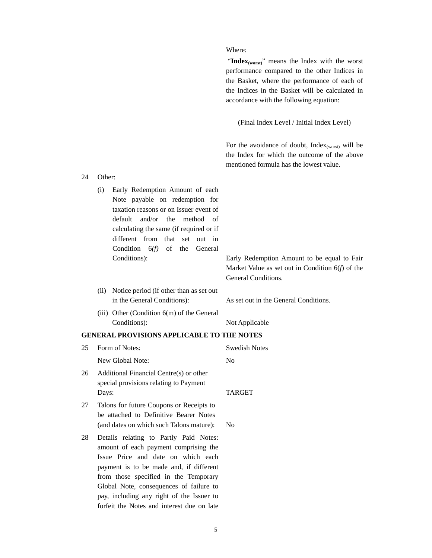#### Where:

"Index<sub>(worst)</sub>" means the Index with the worst performance compared to the other Indices in the Basket, where the performance of each of the Indices in the Basket will be calculated in accordance with the following equation:

(Final Index Level / Initial Index Level)

For the avoidance of doubt,  $Index_{(worst)}$  will be the Index for which the outcome of the above mentioned formula has the lowest value.

- 24 Other: (i) Early Redemption Amount of each Note payable on redemption for taxation reasons or on Issuer event of default and/or the method of calculating the same (if required or if different from that set out in Condition 6*(f)* of the General
	- Conditions): Early Redemption Amount to be equal to Fair Market Value as set out in Condition 6(*f*) of the General Conditions.
	- (ii) Notice period (if other than as set out in the General Conditions): As set out in the General Conditions.

(iii) Other (Condition 6(m) of the General Conditions): Not Applicable

#### **GENERAL PROVISIONS APPLICABLE TO THE NOTES**

| 25. | Form of Notes:                                                                             | Swedish Notes  |
|-----|--------------------------------------------------------------------------------------------|----------------|
|     | New Global Note:                                                                           | N <sub>0</sub> |
| 26  | Additional Financial Centre(s) or other<br>special provisions relating to Payment<br>Days: | <b>TARGET</b>  |
|     |                                                                                            |                |
| 27  | Talons for future Coupons or Receipts to<br>be attached to Definitive Bearer Notes         |                |
|     | (and dates on which such Talons mature):                                                   | N <sub>0</sub> |
| 28  | Details relating to Partly Paid Notes:<br>amount of each payment comprising the            |                |

Issue Price and date on which each payment is to be made and, if different from those specified in the Temporary Global Note, consequences of failure to pay, including any right of the Issuer to forfeit the Notes and interest due on late

5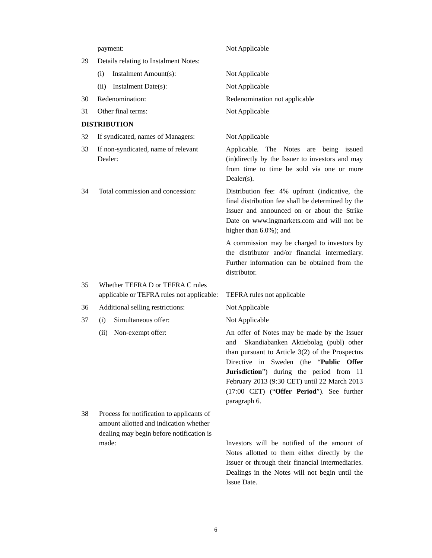|    | payment:                                                                                                                        | Not Applicable                                                                                                                                                                                                                                                                                                                                      |
|----|---------------------------------------------------------------------------------------------------------------------------------|-----------------------------------------------------------------------------------------------------------------------------------------------------------------------------------------------------------------------------------------------------------------------------------------------------------------------------------------------------|
| 29 | Details relating to Instalment Notes:                                                                                           |                                                                                                                                                                                                                                                                                                                                                     |
|    | Instalment Amount(s):<br>(i)                                                                                                    | Not Applicable                                                                                                                                                                                                                                                                                                                                      |
|    | Instalment Date(s):<br>(ii)                                                                                                     | Not Applicable                                                                                                                                                                                                                                                                                                                                      |
| 30 | Redenomination:                                                                                                                 | Redenomination not applicable                                                                                                                                                                                                                                                                                                                       |
| 31 | Other final terms:                                                                                                              | Not Applicable                                                                                                                                                                                                                                                                                                                                      |
|    | <b>DISTRIBUTION</b>                                                                                                             |                                                                                                                                                                                                                                                                                                                                                     |
| 32 | If syndicated, names of Managers:                                                                                               | Not Applicable                                                                                                                                                                                                                                                                                                                                      |
| 33 | If non-syndicated, name of relevant<br>Dealer:                                                                                  | Applicable. The Notes are being issued<br>(in)directly by the Issuer to investors and may<br>from time to time be sold via one or more<br>$Dealer(s)$ .                                                                                                                                                                                             |
| 34 | Total commission and concession:                                                                                                | Distribution fee: 4% upfront (indicative, the<br>final distribution fee shall be determined by the<br>Issuer and announced on or about the Strike<br>Date on www.ingmarkets.com and will not be<br>higher than 6.0%); and                                                                                                                           |
|    |                                                                                                                                 | A commission may be charged to investors by<br>the distributor and/or financial intermediary.<br>Further information can be obtained from the<br>distributor.                                                                                                                                                                                       |
| 35 | Whether TEFRA D or TEFRA C rules<br>applicable or TEFRA rules not applicable:                                                   | TEFRA rules not applicable                                                                                                                                                                                                                                                                                                                          |
| 36 | Additional selling restrictions:                                                                                                | Not Applicable                                                                                                                                                                                                                                                                                                                                      |
| 37 | Simultaneous offer:<br>(i)                                                                                                      | Not Applicable                                                                                                                                                                                                                                                                                                                                      |
|    | (ii)<br>Non-exempt offer:                                                                                                       | An offer of Notes may be made by the Issuer<br>Skandiabanken Aktiebolag (publ) other<br>and<br>than pursuant to Article $3(2)$ of the Prospectus<br>Directive in Sweden (the "Public Offer<br>Jurisdiction") during the period from 11<br>February 2013 (9:30 CET) until 22 March 2013<br>(17:00 CET) ("Offer Period"). See further<br>paragraph 6. |
| 38 | Process for notification to applicants of<br>amount allotted and indication whether<br>dealing may begin before notification is |                                                                                                                                                                                                                                                                                                                                                     |

made: Investors will be notified of the amount of Notes allotted to them either directly by the Issuer or through their financial intermediaries. Dealings in the Notes will not begin until the Issue Date.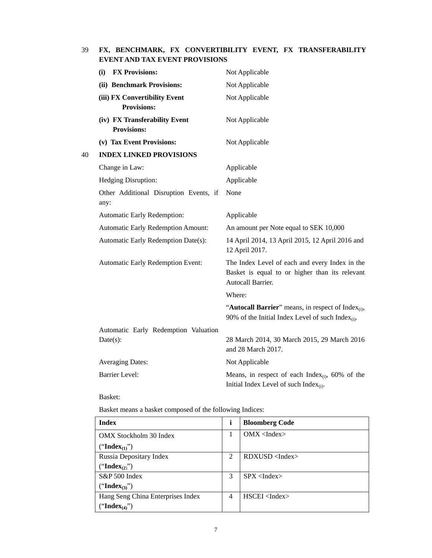# 39 **FX, BENCHMARK, FX CONVERTIBILITY EVENT, FX TRANSFERABILITY EVENT AND TAX EVENT PROVISIONS**

|    | <b>FX Provisions:</b><br>(i)                        | Not Applicable                                                                                                            |
|----|-----------------------------------------------------|---------------------------------------------------------------------------------------------------------------------------|
|    | (ii) Benchmark Provisions:                          | Not Applicable                                                                                                            |
|    | (iii) FX Convertibility Event<br><b>Provisions:</b> | Not Applicable                                                                                                            |
|    | (iv) FX Transferability Event<br><b>Provisions:</b> | Not Applicable                                                                                                            |
|    | (v) Tax Event Provisions:                           | Not Applicable                                                                                                            |
| 40 | <b>INDEX LINKED PROVISIONS</b>                      |                                                                                                                           |
|    | Change in Law:                                      | Applicable                                                                                                                |
|    | Hedging Disruption:                                 | Applicable                                                                                                                |
|    | Other Additional Disruption Events, if<br>any:      | None                                                                                                                      |
|    | Automatic Early Redemption:                         | Applicable                                                                                                                |
|    | <b>Automatic Early Redemption Amount:</b>           | An amount per Note equal to SEK 10,000                                                                                    |
|    | Automatic Early Redemption Date(s):                 | 14 April 2014, 13 April 2015, 12 April 2016 and<br>12 April 2017.                                                         |
|    | Automatic Early Redemption Event:                   | The Index Level of each and every Index in the<br>Basket is equal to or higher than its relevant<br>Autocall Barrier.     |
|    |                                                     | Where:                                                                                                                    |
|    |                                                     | "Autocall Barrier" means, in respect of Index <sub>(i)</sub> ,<br>90% of the Initial Index Level of such Index $_{(i)}$ . |
|    | Automatic Early Redemption Valuation                |                                                                                                                           |
|    | Date(s):                                            | 28 March 2014, 30 March 2015, 29 March 2016<br>and 28 March 2017.                                                         |
|    | <b>Averaging Dates:</b>                             | Not Applicable                                                                                                            |
|    | <b>Barrier Level:</b>                               | Means, in respect of each Index $_{(i)}$ , 60% of the<br>Initial Index Level of such Index $_{(i)}$ .                     |

Basket:

Basket means a basket composed of the following Indices:

| <b>Index</b>                      |   | <b>Bloomberg Code</b>    |
|-----------------------------------|---|--------------------------|
| OMX Stockholm 30 Index            |   | $OMX$ <index></index>    |
| ("Index <sub>(1)</sub> ")         |   |                          |
| Russia Depositary Index           | 2 | $RDXUSD$ <index></index> |
| ("Index <sub>(2)</sub> ")         |   |                          |
| S&P 500 Index                     | 3 | $SPX$ <index></index>    |
| ("Index <sub>(3)</sub> ")         |   |                          |
| Hang Seng China Enterprises Index | 4 | HSCEI < Index            |
| "Index <sub>(4)</sub> ")          |   |                          |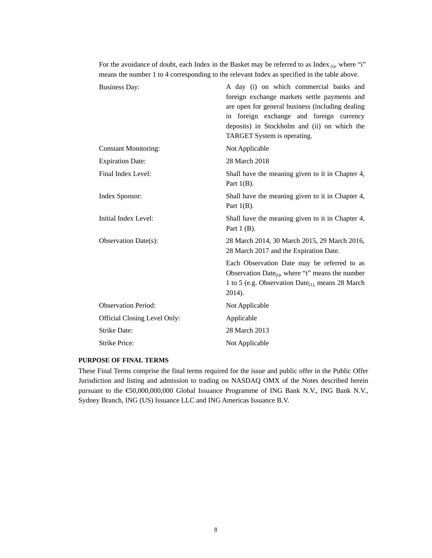For the avoidance of doubt, each Index in the Basket may be referred to as Index (i), where "i" means the number 1 to 4 corresponding to the relevant Index as specified in the table above.

| <b>Business Day:</b>         | A day (i) on which commercial banks and<br>foreign exchange markets settle payments and<br>are open for general business (including dealing<br>in foreign exchange and foreign currency<br>deposits) in Stockholm and (ii) on which the<br>TARGET System is operating. |
|------------------------------|------------------------------------------------------------------------------------------------------------------------------------------------------------------------------------------------------------------------------------------------------------------------|
| <b>Constant Monitoring:</b>  | Not Applicable                                                                                                                                                                                                                                                         |
| <b>Expiration Date:</b>      | 28 March 2018                                                                                                                                                                                                                                                          |
| Final Index Level:           | Shall have the meaning given to it in Chapter 4,<br>Part $1(B)$ .                                                                                                                                                                                                      |
| Index Sponsor:               | Shall have the meaning given to it in Chapter 4,<br>Part $1(B)$ .                                                                                                                                                                                                      |
| Initial Index Level:         | Shall have the meaning given to it in Chapter 4,<br>Part $1$ (B).                                                                                                                                                                                                      |
| Observation Date(s):         | 28 March 2014, 30 March 2015, 29 March 2016,<br>28 March 2017 and the Expiration Date.                                                                                                                                                                                 |
|                              | Each Observation Date may be referred to as<br>Observation Date <sub>(t)</sub> , where "t" means the number<br>1 to 5 (e.g. Observation Date <sub>(1)</sub> , means 28 March<br>2014).                                                                                 |
| <b>Observation Period:</b>   | Not Applicable                                                                                                                                                                                                                                                         |
| Official Closing Level Only: | Applicable                                                                                                                                                                                                                                                             |
| <b>Strike Date:</b>          | 28 March 2013                                                                                                                                                                                                                                                          |
| <b>Strike Price:</b>         | Not Applicable                                                                                                                                                                                                                                                         |

## **PURPOSE OF FINAL TERMS**

These Final Terms comprise the final terms required for the issue and public offer in the Public Offer Jurisdiction and listing and admission to trading on NASDAQ OMX of the Notes described herein pursuant to the €50,000,000,000 Global Issuance Programme of ING Bank N.V., ING Bank N.V., Sydney Branch, ING (US) Issuance LLC and ING Americas Issuance B.V.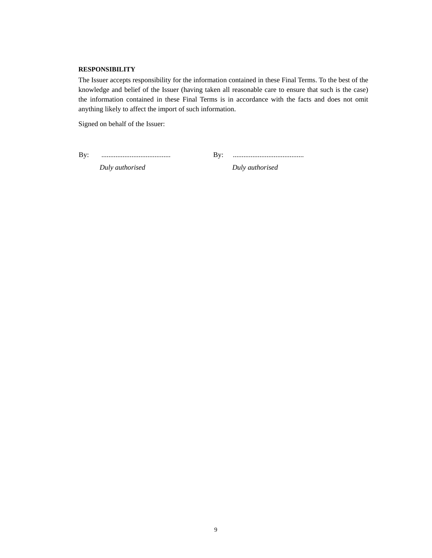#### **RESPONSIBILITY**

The Issuer accepts responsibility for the information contained in these Final Terms. To the best of the knowledge and belief of the Issuer (having taken all reasonable care to ensure that such is the case) the information contained in these Final Terms is in accordance with the facts and does not omit anything likely to affect the import of such information.

Signed on behalf of the Issuer:

By: ....................................... By: ........................................

*Duly authorised Duly authorised*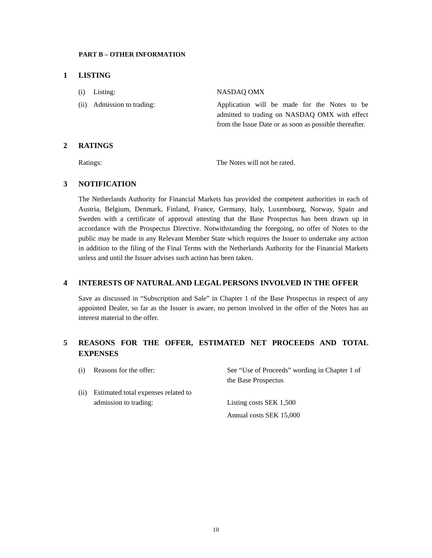### **PART B – OTHER INFORMATION**

### **1 LISTING**

| $(i)$ Listing:             | NASDAO OMX                                                                                                                                              |
|----------------------------|---------------------------------------------------------------------------------------------------------------------------------------------------------|
| (ii) Admission to trading: | Application will be made for the Notes to be<br>admitted to trading on NASDAQ OMX with effect<br>from the Issue Date or as soon as possible thereafter. |

## **2 RATINGS**

Ratings: The Notes will not be rated.

### **3 NOTIFICATION**

The Netherlands Authority for Financial Markets has provided the competent authorities in each of Austria, Belgium, Denmark, Finland, France, Germany, Italy, Luxembourg, Norway, Spain and Sweden with a certificate of approval attesting that the Base Prospectus has been drawn up in accordance with the Prospectus Directive. Notwithstanding the foregoing, no offer of Notes to the public may be made in any Relevant Member State which requires the Issuer to undertake any action in addition to the filing of the Final Terms with the Netherlands Authority for the Financial Markets unless and until the Issuer advises such action has been taken.

## **4 INTERESTS OF NATURAL AND LEGAL PERSONS INVOLVED IN THE OFFER**

Save as discussed in "Subscription and Sale" in Chapter 1 of the Base Prospectus in respect of any appointed Dealer, so far as the Issuer is aware, no person involved in the offer of the Notes has an interest material to the offer.

# **5 REASONS FOR THE OFFER, ESTIMATED NET PROCEEDS AND TOTAL EXPENSES**

| (i)  | Reasons for the offer:              | See "Use of Proceeds" wording in Chapter 1 of<br>the Base Prospectus |
|------|-------------------------------------|----------------------------------------------------------------------|
| (ii) | Estimated total expenses related to |                                                                      |
|      | admission to trading:               | Listing costs SEK 1,500                                              |
|      |                                     | Annual costs SEK 15,000                                              |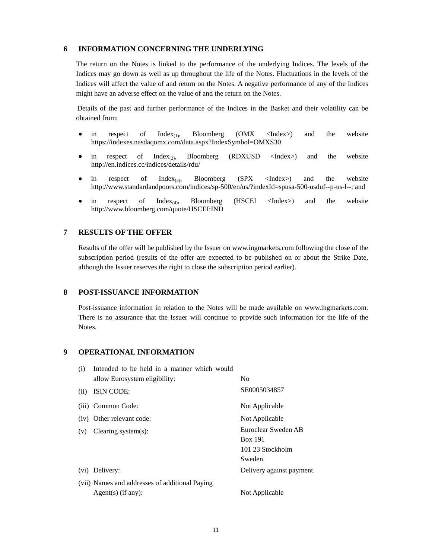#### **6 INFORMATION CONCERNING THE UNDERLYING**

The return on the Notes is linked to the performance of the underlying Indices. The levels of the Indices may go down as well as up throughout the life of the Notes. Fluctuations in the levels of the Indices will affect the value of and return on the Notes. A negative performance of any of the Indices might have an adverse effect on the value of and the return on the Notes.

Details of the past and further performance of the Indices in the Basket and their volatility can be obtained from:

- in respect of  $Index_{(1)}$ , Bloomberg (OMX <Index>) and the website <https://indexes.nasdaqomx.com/data.aspx?IndexSymbol=OMXS30>
- in respect of  $Index_{(2)}$ , Bloomberg (RDXUSD <Index>) and the website http://en.indices.cc/indices/details/rdu/
- in respect of  $Index_{(3)}$ , Bloomberg (SPX <Index>) and the website http://www.standardandpoors.com/indices/sp-500/en/us/?indexId=spusa-500-usduf--p-us-l--; and
- in respect of  $Index_{(4)}$ , Bloomberg (HSCEI <Index>) and the website http://www.bloomberg.com/quote/HSCEI:IND

## **7 RESULTS OF THE OFFER**

Results of the offer will be published by the Issuer on www.ingmarkets.com following the close of the subscription period (results of the offer are expected to be published on or about the Strike Date, although the Issuer reserves the right to close the subscription period earlier).

### **8 POST-ISSUANCE INFORMATION**

Post-issuance information in relation to the Notes will be made available on www.ingmarkets.com. There is no assurance that the Issuer will continue to provide such information for the life of the Notes.

### **9 OPERATIONAL INFORMATION**

| Intended to be held in a manner which would |                                                                                                                     |
|---------------------------------------------|---------------------------------------------------------------------------------------------------------------------|
| allow Eurosystem eligibility:               | No                                                                                                                  |
| ISIN CODE:                                  | SE0005034857                                                                                                        |
|                                             | Not Applicable                                                                                                      |
|                                             | Not Applicable                                                                                                      |
| Clearing system $(s)$ :                     | Euroclear Sweden AB                                                                                                 |
|                                             | <b>Box 191</b>                                                                                                      |
|                                             | 101 23 Stockholm                                                                                                    |
|                                             | Sweden.                                                                                                             |
|                                             | Delivery against payment.                                                                                           |
|                                             |                                                                                                                     |
| $Agent(s)$ (if any):                        | Not Applicable                                                                                                      |
|                                             | (iii) Common Code:<br>(iv) Other relevant code:<br>(vi) Delivery:<br>(vii) Names and addresses of additional Paying |